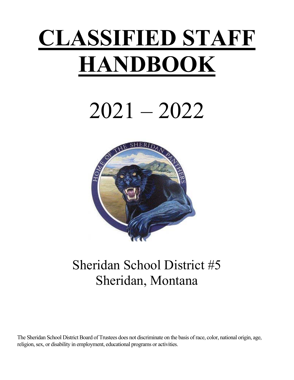# **CLASSIFIED STAFF HANDBOOK**

# 2021 – 2022



## Sheridan School District #5 Sheridan, Montana

The Sheridan School District Board of Trustees does not discriminate on the basis of race, color, national origin, age, religion, sex, or disability in employment, educational programs or activities.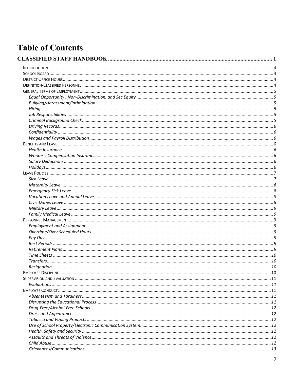## **Table of Contents**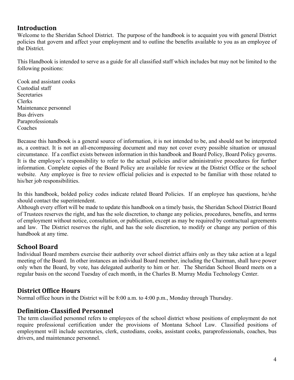## **Introduction**

Welcome to the Sheridan School District. The purpose of the handbook is to acquaint you with general District policies that govern and affect your employment and to outline the benefits available to you as an employee of the District.

This Handbook is intended to serve as a guide for all classified staff which includes but may not be limited to the following positions:

Cook and assistant cooks Custodial staff **Secretaries** Clerks Maintenance personnel Bus drivers Paraprofessionals Coaches

Because this handbook is a general source of information, it is not intended to be, and should not be interpreted as, a contract. It is not an all-encompassing document and may not cover every possible situation or unusual circumstance. If a conflict exists between information in this handbook and Board Policy, Board Policy governs. It is the employee's responsibility to refer to the actual policies and/or administrative procedures for further information. Complete copies of the Board Policy are available for review at the District Office or the school website. Any employee is free to review official policies and is expected to be familiar with those related to his/her job responsibilities.

In this handbook, bolded policy codes indicate related Board Policies. If an employee has questions, he/she should contact the superintendent.

Although every effort will be made to update this handbook on a timely basis, the Sheridan School District Board of Trustees reserves the right, and has the sole discretion, to change any policies, procedures, benefits, and terms of employment without notice, consultation, or publication, except as may be required by contractual agreements and law. The District reserves the right, and has the sole discretion, to modify or change any portion of this handbook at any time.

## **School Board**

Individual Board members exercise their authority over school district affairs only as they take action at a legal meeting of the Board. In other instances an individual Board member, including the Chairman, shall have power only when the Board, by vote, has delegated authority to him or her. The Sheridan School Board meets on a regular basis on the second Tuesday of each month, in the Charles B. Murray Media Technology Center.

## **District Office Hours**

Normal office hours in the District will be 8:00 a.m. to 4:00 p.m., Monday through Thursday.

## **Definition‐Classified Personnel**

The term classified personnel refers to employees of the school district whose positions of employment do not require professional certification under the provisions of Montana School Law. Classified positions of employment will include secretaries, clerk, custodians, cooks, assistant cooks, paraprofessionals, coaches, bus drivers, and maintenance personnel.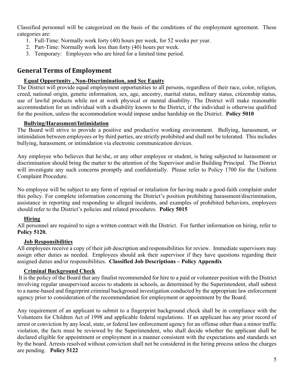Classified personnel will be categorized on the basis of the conditions of the employment agreement. These categories are:

- 1. Full-Time: Normally work forty (40) hours per week, for 52 weeks per year.
- 2. Part-Time: Normally work less than forty (40) hours per week.
- 3. Temporary: Employees who are hired for a limited time period.

## **General Terms of Employment**

#### **Equal Opportunity , Non-Discrimination, and Sec Equity**

The District will provide equal employment opportunities to all persons, regardless of their race, color, religion, creed, national origin, genetic information, sex, age, ancestry, marital status, military status, citizenship status, use of lawful products while not at work physical or mental disability. The District will make reasonable accommodation for an individual with a disability known to the District, if the individual is otherwise qualified for the position, unless the accommodation would impose undue hardship on the District. **Policy 5010**

#### **Bullying/Harassment/Intimidation**

The Board will strive to provide a positive and productive working environment. Bullying, harassment, or intimidation between employees or by third parties, are strictly prohibited and shall not be tolerated. This includes bullying, harassment, or intimidation via electronic communication devices.

Any employee who believes that he/she, or any other employee or student, is being subjected to harassment or discrimination should bring the matter to the attention of the Supervisor and/or Building Principal. The District will investigate any such concerns promptly and confidentially. Please refer to Policy 1700 for the Uniform Complaint Procedure.

No employee will be subject to any form of reprisal or retaliation for having made a good-faith complaint under this policy. For complete information concerning the District's position prohibiting harassment/discrimination, assistance in reporting and responding to alleged incidents, and examples of prohibited behaviors, employees should refer to the District's policies and related procedures. **Policy 5015** 

#### **Hiring**

All personnel are required to sign a written contract with the District. For further information on hiring, refer to **Policy 5120.** 

#### **Job Responsibilities**

All employees receive a copy of their job description and responsibilities for review. Immediate supervisors may assign other duties as needed. Employees should ask their supervisor if they have questions regarding their assigned duties and/or responsibilities. **Classified Job Descriptions – Policy Appendix** 

#### **Criminal Background Check**

 It is the policy of the Board that any finalist recommended for hire to a paid or volunteer position with the District involving regular unsupervised access to students in schools, as determined by the Superintendent, shall submit to a name-based and fingerprint criminal background investigation conducted by the appropriate law enforcement agency prior to consideration of the recommendation for employment or appointment by the Board.

Any requirement of an applicant to submit to a fingerprint background check shall be in compliance with the Volunteers for Children Act of 1998 and applicable federal regulations. If an applicant has any prior record of arrest or conviction by any local, state, or federal law enforcement agency for an offense other than a minor traffic violation, the facts must be reviewed by the Superintendent, who shall decide whether the applicant shall be declared eligible for appointment or employment in a manner consistent with the expectations and standards set by the board. Arrests resolved without conviction shall not be considered in the hiring process unless the charges are pending. **Policy 5122**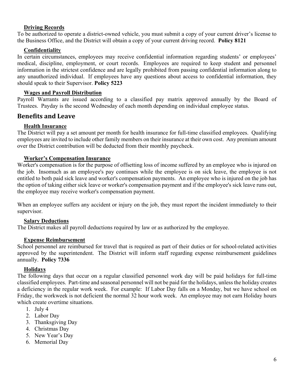#### **Driving Records**

To be authorized to operate a district-owned vehicle, you must submit a copy of your current driver's license to the Business Office, and the District will obtain a copy of your current driving record. **Policy 8121**

#### **Confidentiality**

In certain circumstances, employees may receive confidential information regarding students' or employees' medical, discipline, employment, or court records. Employees are required to keep student and personnel information in the strictest confidence and are legally prohibited from passing confidential information along to any unauthorized individual. If employees have any questions about access to confidential information, they should speak to their Supervisor. **Policy 5223**

#### **Wages and Payroll Distribution**

Payroll Warrants are issued according to a classified pay matrix approved annually by the Board of Trustees. Payday is the second Wednesday of each month depending on individual employee status.

#### **Benefits and Leave**

#### **Health Insurance**

The District will pay a set amount per month for health insurance for full-time classified employees. Qualifying employees are invited to include other family members on their insurance at their own cost. Any premium amount over the District contribution will be deducted from their monthly paycheck.

#### **Worker's Compensation Insurance**

Worker's compensation is for the purpose of offsetting loss of income suffered by an employee who is injured on the job. Insomuch as an employee's pay continues while the employee is on sick leave, the employee is not entitled to both paid sick leave and worker's compensation payments. An employee who is injured on the job has the option of taking either sick leave or worker's compensation payment and if the employee's sick leave runs out, the employee may receive worker's compensation payment.

When an employee suffers any accident or injury on the job, they must report the incident immediately to their supervisor.

#### **Salary Deductions**

The District makes all payroll deductions required by law or as authorized by the employee.

#### **Expense Reimbursement**

School personnel are reimbursed for travel that is required as part of their duties or for school-related activities approved by the superintendent. The District will inform staff regarding expense reimbursement guidelines annually. **Policy 7336**

#### **Holidays**

The following days that occur on a regular classified personnel work day will be paid holidays for full-time classified employees. Part-time and seasonal personnel will not be paid for the holidays, unless the holiday creates a deficiency in the regular work week. For example: If Labor Day falls on a Monday, but we have school on Friday, the workweek is not deficient the normal 32 hour work week. An employee may not earn Holiday hours which create overtime situations.

- 1. July 4
- 2. Labor Day
- 3. Thanksgiving Day
- 4. Christmas Day
- 5. New Year's Day
- 6. Memorial Day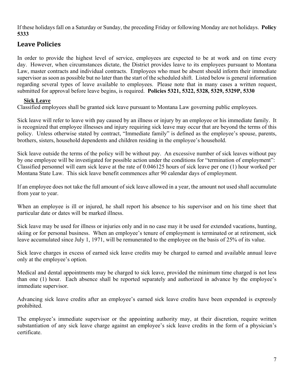If these holidays fall on a Saturday or Sunday, the preceding Friday or following Monday are not holidays. **Policy 5333** 

## **Leave Policies**

In order to provide the highest level of service, employees are expected to be at work and on time every day. However, when circumstances dictate, the District provides leave to its employees pursuant to Montana Law, master contracts and individual contracts. Employees who must be absent should inform their immediate supervisor as soon as possible but no later than the start of the scheduled shift. Listed below is general information regarding several types of leave available to employees. Please note that in many cases a written request, submitted for approval before leave begins, is required. **Policies 5321, 5322, 5328, 5329, 5329P, 5330**

#### **Sick Leave**

Classified employees shall be granted sick leave pursuant to Montana Law governing public employees.

Sick leave will refer to leave with pay caused by an illness or injury by an employee or his immediate family. It is recognized that employee illnesses and injury requiring sick leave may occur that are beyond the terms of this policy. Unless otherwise stated by contract, "Immediate family" is defined as the employee's spouse, parents, brothers, sisters, household dependents and children residing in the employee's household.

Sick leave outside the terms of the policy will be without pay. An excessive number of sick leaves without pay by one employee will be investigated for possible action under the conditions for "termination of employment": Classified personnel will earn sick leave at the rate of 0.046125 hours of sick leave per one (1) hour worked per Montana State Law. This sick leave benefit commences after 90 calendar days of employment.

If an employee does not take the full amount of sick leave allowed in a year, the amount not used shall accumulate from year to year.

When an employee is ill or injured, he shall report his absence to his supervisor and on his time sheet that particular date or dates will be marked illness.

Sick leave may be used for illness or injuries only and in no case may it be used for extended vacations, hunting, skiing or for personal business. When an employee's tenure of employment is terminated or at retirement, sick leave accumulated since July 1, 1971, will be remunerated to the employee on the basis of 25% of its value.

Sick leave charges in excess of earned sick leave credits may be charged to earned and available annual leave only at the employee's option.

Medical and dental appointments may be charged to sick leave, provided the minimum time charged is not less than one (1) hour. Each absence shall be reported separately and authorized in advance by the employee's immediate supervisor.

Advancing sick leave credits after an employee's earned sick leave credits have been expended is expressly prohibited.

The employee's immediate supervisor or the appointing authority may, at their discretion, require written substantiation of any sick leave charge against an employee's sick leave credits in the form of a physician's certificate.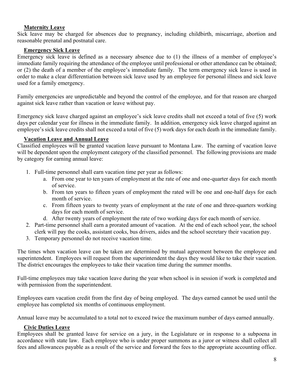#### **Maternity Leave**

Sick leave may be charged for absences due to pregnancy, including childbirth, miscarriage, abortion and reasonable prenatal and postnatal care.

#### **Emergency Sick Leave**

Emergency sick leave is defined as a necessary absence due to (1) the illness of a member of employee's immediate family requiring the attendance of the employee until professional or other attendance can be obtained; or (2) the death of a member of the employee's immediate family. The term emergency sick leave is used in order to make a clear differentiation between sick leave used by an employee for personal illness and sick leave used for a family emergency.

Family emergencies are unpredictable and beyond the control of the employee, and for that reason are charged against sick leave rather than vacation or leave without pay.

Emergency sick leave charged against an employee's sick leave credits shall not exceed a total of five (5) work days per calendar year for illness in the immediate family. In addition, emergency sick leave charged against an employee's sick leave credits shall not exceed a total of five (5) work days for each death in the immediate family.

#### **Vacation Leave and Annual Leave**

Classified employees will be granted vacation leave pursuant to Montana Law. The earning of vacation leave will be dependent upon the employment category of the classified personnel. The following provisions are made by category for earning annual leave:

- 1. Full-time personnel shall earn vacation time per year as follows:
	- a. From one year to ten years of employment at the rate of one and one-quarter days for each month of service.
	- b. From ten years to fifteen years of employment the rated will be one and one-half days for each month of service.
	- c. From fifteen years to twenty years of employment at the rate of one and three-quarters working days for each month of service.
	- d. After twenty years of employment the rate of two working days for each month of service.
- 2. Part-time personnel shall earn a prorated amount of vacation. At the end of each school year, the school clerk will pay the cooks, assistant cooks, bus drivers, aides and the school secretary their vacation pay.
- 3. Temporary personnel do not receive vacation time.

The times when vacation leave can be taken are determined by mutual agreement between the employee and superintendent. Employees will request from the superintendent the days they would like to take their vacation. The district encourages the employees to take their vacation time during the summer months.

Full-time employees may take vacation leave during the year when school is in session if work is completed and with permission from the superintendent.

Employees earn vacation credit from the first day of being employed. The days earned cannot be used until the employee has completed six months of continuous employment.

Annual leave may be accumulated to a total not to exceed twice the maximum number of days earned annually.

#### **Civic Duties Leave**

Employees shall be granted leave for service on a jury, in the Legislature or in response to a subpoena in accordance with state law. Each employee who is under proper summons as a juror or witness shall collect all fees and allowances payable as a result of the service and forward the fees to the appropriate accounting office.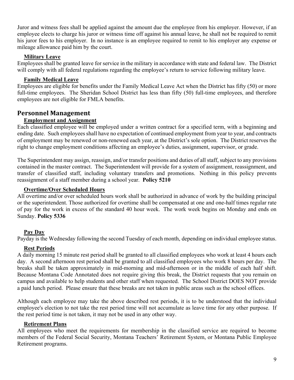Juror and witness fees shall be applied against the amount due the employee from his employer. However, if an employee elects to charge his juror or witness time off against his annual leave, he shall not be required to remit his juror fees to his employer. In no instance is an employee required to remit to his employer any expense or mileage allowance paid him by the court.

#### **Military Leave**

Employees shall be granted leave for service in the military in accordance with state and federal law. The District will comply with all federal regulations regarding the employee's return to service following military leave.

#### **Family Medical Leave**

Employees are eligible for benefits under the Family Medical Leave Act when the District has fifty (50) or more full-time employees. The Sheridan School District has less than fifty (50) full-time employees, and therefore employees are not eligible for FMLA benefits.

#### **Personnel Management**

#### **Employment and Assignment**

Each classified employee will be employed under a written contract for a specified term, with a beginning and ending date. Such employees shall have no expectation of continued employment from year to year, and contracts of employment may be renewed or non-renewed each year, at the District's sole option. The District reserves the right to change employment conditions affecting an employee's duties, assignment, supervisor, or grade.

The Superintendent may assign, reassign, and/or transfer positions and duties of all staff, subject to any provisions contained in the master contract. The Superintendent will provide for a system of assignment, reassignment, and transfer of classified staff, including voluntary transfers and promotions. Nothing in this policy prevents reassignment of a staff member during a school year. **Policy 5210**

#### **Overtime/Over Scheduled Hours**

All overtime and/or over scheduled hours work shall be authorized in advance of work by the building principal or the superintendent. Those authorized for overtime shall be compensated at one and one-half times regular rate of pay for the work in excess of the standard 40 hour week. The work week begins on Monday and ends on Sunday. **Policy 5336** 

#### **Pay Day**

Payday is the Wednesday following the second Tuesday of each month, depending on individual employee status.

#### **Rest Periods**

A daily morning 15 minute rest period shall be granted to all classified employees who work at least 4 hours each day. A second afternoon rest period shall be granted to all classified employees who work 8 hours per day. The breaks shall be taken approximately in mid-morning and mid-afternoon or in the middle of each half shift. Because Montana Code Annotated does not require giving this break, the District requests that you remain on campus and available to help students and other staff when requested. The School District DOES NOT provide a paid lunch period. Please ensure that these breaks are not taken in public areas such as the school offices.

Although each employee may take the above described rest periods, it is to be understood that the individual employee's election to not take the rest period time will not accumulate as leave time for any other purpose. If the rest period time is not taken, it may not be used in any other way.

#### **Retirement Plans**

All employees who meet the requirements for membership in the classified service are required to become members of the Federal Social Security, Montana Teachers' Retirement System, or Montana Public Employee Retirement programs.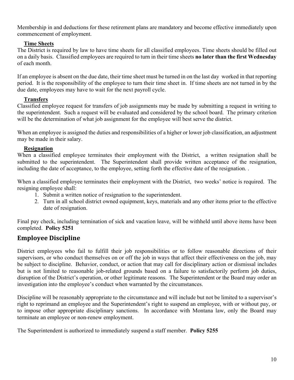Membership in and deductions for these retirement plans are mandatory and become effective immediately upon commencement of employment.

#### **Time Sheets**

The District is required by law to have time sheets for all classified employees. Time sheets should be filled out on a daily basis. Classified employees are required to turn in their time sheets **no later than the first Wednesday** of each month.

If an employee is absent on the due date, their time sheet must be turned in on the last day worked in that reporting period. It is the responsibility of the employee to turn their time sheet in. If time sheets are not turned in by the due date, employees may have to wait for the next payroll cycle.

#### **Transfers**

Classified employee request for transfers of job assignments may be made by submitting a request in writing to the superintendent. Such a request will be evaluated and considered by the school board. The primary criterion will be the determination of what job assignment for the employee will best serve the district.

When an employee is assigned the duties and responsibilities of a higher or lower job classification, an adjustment may be made in their salary.

#### **Resignation**

When a classified employee terminates their employment with the District, a written resignation shall be submitted to the superintendent. The Superintendent shall provide written acceptance of the resignation, including the date of acceptance, to the employee, setting forth the effective date of the resignation. .

When a classified employee terminates their employment with the District, two weeks' notice is required. The resigning employee shall:

- 1. Submit a written notice of resignation to the superintendent.
- 2. Turn in all school district owned equipment, keys, materials and any other items prior to the effective date of resignation.

Final pay check, including termination of sick and vacation leave, will be withheld until above items have been completed. **Policy 5251**

## **Employee Discipline**

District employees who fail to fulfill their job responsibilities or to follow reasonable directions of their supervisors, or who conduct themselves on or off the job in ways that affect their effectiveness on the job, may be subject to discipline. Behavior, conduct, or action that may call for disciplinary action or dismissal includes but is not limited to reasonable job-related grounds based on a failure to satisfactorily perform job duties, disruption of the District's operation, or other legitimate reasons. The Superintendent or the Board may order an investigation into the employee's conduct when warranted by the circumstances.

Discipline will be reasonably appropriate to the circumstance and will include but not be limited to a supervisor's right to reprimand an employee and the Superintendent's right to suspend an employee, with or without pay, or to impose other appropriate disciplinary sanctions. In accordance with Montana law, only the Board may terminate an employee or non-renew employment.

The Superintendent is authorized to immediately suspend a staff member. **Policy 5255**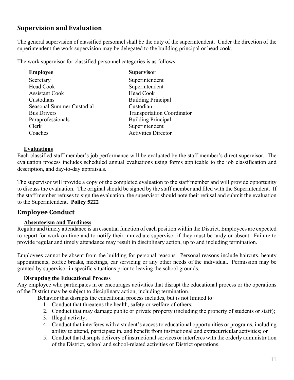## **Supervision and Evaluation**

The general supervision of classified personnel shall be the duty of the superintendent. Under the direction of the superintendent the work supervision may be delegated to the building principal or head cook.

The work supervisor for classified personnel categories is as follows:

| <b>Supervisor</b>                 |
|-----------------------------------|
| Superintendent                    |
| Superintendent                    |
| Head Cook                         |
| <b>Building Principal</b>         |
| Custodian                         |
| <b>Transportation Coordinator</b> |
| <b>Building Principal</b>         |
| Superintendent                    |
| <b>Activities Director</b>        |
|                                   |

#### **Evaluations**

Each classified staff member's job performance will be evaluated by the staff member's direct supervisor. The evaluation process includes scheduled annual evaluations using forms applicable to the job classification and description, and day-to-day appraisals.

The supervisor will provide a copy of the completed evaluation to the staff member and will provide opportunity to discuss the evaluation. The original should be signed by the staff member and filed with the Superintendent. If the staff member refuses to sign the evaluation, the supervisor should note their refusal and submit the evaluation to the Superintendent. **Policy 5222** 

## **Employee Conduct**

#### **Absenteeism and Tardiness**

Regular and timely attendance is an essential function of each position within the District. Employees are expected to report for work on time and to notify their immediate supervisor if they must be tardy or absent. Failure to provide regular and timely attendance may result in disciplinary action, up to and including termination.

Employees cannot be absent from the building for personal reasons. Personal reasons include haircuts, beauty appointments, coffee breaks, meetings, car servicing or any other needs of the individual. Permission may be granted by supervisor in specific situations prior to leaving the school grounds.

#### **Disrupting the Educational Process**

Any employee who participates in or encourages activities that disrupt the educational process or the operations of the District may be subject to disciplinary action, including termination.

Behavior that disrupts the educational process includes, but is not limited to:

- 1. Conduct that threatens the health, safety or welfare of others;
- 2. Conduct that may damage public or private property (including the property of students or staff);
- 3. Illegal activity;
- 4. Conduct that interferes with a student's access to educational opportunities or programs, including ability to attend, participate in, and benefit from instructional and extracurricular activities; or
- 5. Conduct that disrupts delivery of instructional services or interferes with the orderly administration of the District, school and school-related activities or District operations.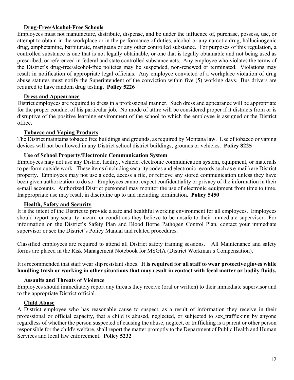#### **Drug-Free/Alcohol-Free Schools**

Employees must not manufacture, distribute, dispense, and be under the influence of, purchase, possess, use, or attempt to obtain in the workplace or in the performance of duties, alcohol or any narcotic drug, hallucinogenic drug, amphetamine, barbiturate, marijuana or any other controlled substance. For purposes of this regulation, a controlled substance is one that is not legally obtainable, or one that is legally obtainable and not being used as prescribed, or referenced in federal and state controlled substance acts. Any employee who violates the terms of the District's drug-free/alcohol-free policies may be suspended, non-renewed or terminated. Violations may result in notification of appropriate legal officials. Any employee convicted of a workplace violation of drug abuse statutes must notify the Superintendent of the conviction within five (5) working days. Bus drivers are required to have random drug testing**. Policy 5226** 

#### **Dress and Appearance**

District employees are required to dress in a professional manner. Such dress and appearance will be appropriate for the proper conduct of his particular job. No mode of attire will be considered proper if it distracts from or is disruptive of the positive learning environment of the school to which the employee is assigned or the District office.

#### **Tobacco and Vaping Products**

The District maintains tobacco free buildings and grounds, as required by Montana law. Use of tobacco or vaping devices will not be allowed in any District school district buildings, grounds or vehicles. **Policy 8225**

#### **Use of School Property/Electronic Communication System**

Employees may not use any District facility, vehicle, electronic communication system, equipment, or materials to perform outside work. These items (including security codes and electronic records such as e-mail) are District property. Employees may not use a code, access a file, or retrieve any stored communication unless they have been given authorization to do so. Employees cannot expect confidentiality or privacy of the information in their e-mail accounts. Authorized District personnel may monitor the use of electronic equipment from time to time. Inappropriate use may result in discipline up to and including termination. **Policy 5450**

#### **Health, Safety and Security**

It is the intent of the District to provide a safe and healthful working environment for all employees. Employees should report any security hazard or conditions they believe to be unsafe to their immediate supervisor. For information on the District's Safety Plan and Blood Borne Pathogen Control Plan, contact your immediate supervisor or see the District's Policy Manual and related procedures.

Classified employees are required to attend all District safety training sessions. All Maintenance and safety forms are placed in the Risk Management Notebook for MSGIA (District Workman's Compensation).

It is recommended that staff wear slip resistant shoes. **It is required for all staff to wear protective gloves while handling trash or working in other situations that may result in contact with fecal matter or bodily fluids.** 

#### **Assaults and Threats of Violence**

Employees should immediately report any threats they receive (oral or written) to their immediate supervisor and to the appropriate District official.

#### **Child Abuse**

A District employee who has reasonable cause to suspect, as a result of information they receive in their professional or official capacity, that a child is abused, neglected, or subjected to sex trafficking by anyone regardless of whether the person suspected of causing the abuse, neglect, or trafficking is a parent or other person responsible for the child's welfare, shall report the matter promptly to the Department of Public Health and Human Services and local law enforcement. **Policy 5232**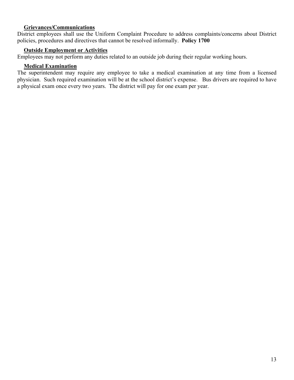#### **Grievances/Communications**

District employees shall use the Uniform Complaint Procedure to address complaints/concerns about District policies, procedures and directives that cannot be resolved informally. **Policy 1700** 

#### **Outside Employment or Activities**

Employees may not perform any duties related to an outside job during their regular working hours.

#### **Medical Examination**

The superintendent may require any employee to take a medical examination at any time from a licensed physician. Such required examination will be at the school district's expense. Bus drivers are required to have a physical exam once every two years. The district will pay for one exam per year.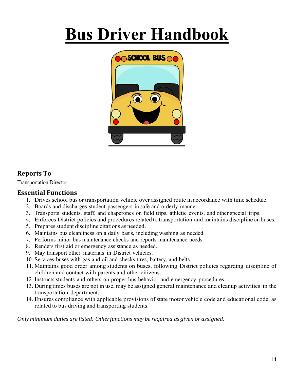## **Bus Driver Handbook**



## **Reports To**

Transportation Director

### **Essential Functions**

- 1. Drives school bus or transportation vehicle over assigned route in accordance with time schedule.
- 2. Boards and discharges student passengers in safe and orderly manner.
- 3. Transports students, staff, and chaperones on field trips, athletic events, and other special trips.
- 4. Enforces District policies and procedures related to transportation and maintains discipline on buses.
- 5. Prepares student discipline citations as needed.
- 6. Maintains bus cleanliness on a daily basis, including washing as needed.
- 7. Performs minor bus maintenance checks and reports maintenance needs.
- 8. Renders first aid or emergency assistance as needed.
- 9. May transport other materials in District vehicles.
- 10. Services buses with gas and oil and checks tires, battery, and belts.
- 11. Maintains good order among students on buses, following District policies regarding discipline of children and contact with parents and other citizens.
- 12. Instructs students and others on proper bus behavior and emergency procedures.
- 13. During times buses are not in use, may be assigned general maintenance and cleanup activities in the transportation department.
- 14. Ensures compliance with applicable provisions of state motor vehicle code and educational code, as related to bus driving and transporting students.

*Only minimum duties are listed. Other functions may be required as given or assigned.*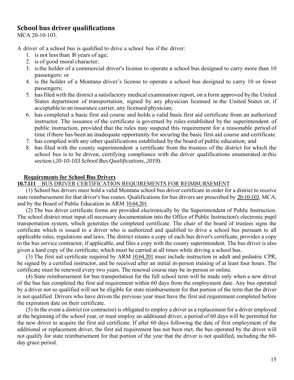### **School bus driver qualifications**

MCA 20-10-103.

A driver of a school bus is qualified to drive a school bus if the driver:

- 1. is not less than 18 years of age;
- 2. is of good moral character;
- 3. is the holder of a commercial driver's license to operate a school bus designed to carry more than 10 passengers: or
- 4. is the holder of a Montana driver's license to operate a school bus designed to carry 10 or fewer passengers;
- 5. has filed with the district a satisfactory medical examination report, on a form approved by the United States department of transportation, signed by any physician licensed in the United States or, if acceptable to an insurance carrier, any licensed physician;
- 6. has completed a basic first aid course and holds a valid basic first aid certificate from an authorized instructor. The issuance of the certificate is governed by rules established by the superintendent of public instruction, provided that the rules may suspend this requirement for a reasonable period of time if there has been an inadequate opportunity for securing the basic first aid course and certificate.
- 7. has complied with any other qualifications established by the board of public education; and
- 8. has filed with the county superintendent a certificate from the trustees of the district for which the school bus is to be driven, certifying compliance with the driver qualifications enumerated in this section ( *20-10-103 School Bus Qualifications, 2019)*.

#### **Requirements for School Bus Drivers**

#### **10.7.111** BUS DRIVER CERTIFICATION REQUIREMENTS FOR REIMBURSEMENT

(1) School bus drivers must hold a valid Montana school bus driver certificate in order for a district to receive state reimbursement for that driver's bus routes. Qualifications for bus drivers are prescribed by 20-10-103, MCA, and by the Board of Public Education in ARM 10.64.201.

(2) The bus driver certificate forms are provided electronically by the Superintendent of Public Instruction. The school district must input all necessary documentation into the Office of Public Instruction's electronic pupil transportation system, which generates the completed certificate. The chair of the board of trustees signs the certificate which is issued to a driver who is authorized and qualified to drive a school bus pursuant to all applicable rules, regulations and laws. The district retains a copy of each bus driver's certificate, provides a copy to the bus service contractor, if applicable, and files a copy with the county superintendent. The bus driver is also given a hard copy of the certificate, which must be carried at all times while driving a school bus.

(3) The first aid certificate required by ARM 10.64.201 must include instruction in adult and pediatric CPR, be signed by a certified instructor, and be received after an initial in-person training of at least four hours. The certificate must be renewed every two years. The renewal course may be in-person or online.

(4) State reimbursement for bus transportation for the full school term will be made only when a new driver of the bus has completed the first aid requirement within 60 days from the employment date. Any bus operated by a driver not so qualified will not be eligible for state reimbursement for that portion of the term that the driver is not qualified. Drivers who have driven the previous year must have the first aid requirement completed before the expiration date on their certificate.

(5) In the event a district (or contractor) is obligated to employ a driver as a replacement for a driver employed at the beginning of the school year, or must employ an additional driver, a period of 60 days will be permitted for the new driver to acquire the first aid certificate. If after 60 days following the date of first employment of the additional or replacement driver, the first aid requirement has not been met, the bus operated by the driver will not qualify for state reimbursement for that portion of the year that the driver is not qualified, including the 60 day grace period.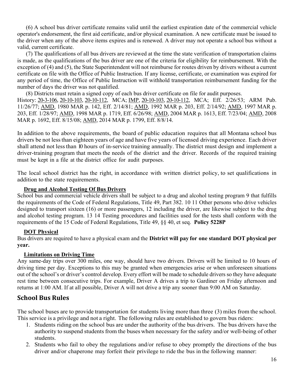(6) A school bus driver certificate remains valid until the earliest expiration date of the commercial vehicle operator's endorsement, the first aid certificate, and/or physical examination. A new certificate must be issued to the driver when any of the above items expires and is renewed. A driver may not operate a school bus without a valid, current certificate.

(7) The qualifications of all bus drivers are reviewed at the time the state verification of transportation claims is made, as the qualifications of the bus driver are one of the criteria for eligibility for reimbursement. With the exception of (4) and (5), the State Superintendent will not reimburse for routes driven by drivers without a current certificate on file with the Office of Public Instruction. If any license, certificate, or examination was expired for any period of time, the Office of Public Instruction will withhold transportation reimbursement funding for the number of days the driver was not qualified.

(8) Districts must retain a signed copy of each bus driver certificate on file for audit purposes.

History: 20-3-106, 20-10-103, 20-10-112, MCA; IMP, 20-10-103, 20-10-112, MCA; Eff. 2/26/53; ARM Pub. 11/26/77; AMD, 1980 MAR p. 142, Eff. 2/14/81; AMD, 1992 MAR p. 203, Eff. 2/14/92; AMD, 1997 MAR p. 203, Eff. 1/28/97; AMD, 1998 MAR p. 1719, Eff. 6/26/98; AMD, 2004 MAR p. 1613, Eff. 7/23/04; AMD, 2008 MAR p. 1692, Eff. 8/15/08; AMD, 2014 MAR p. 1799, Eff. 8/8/14.

In addition to the above requirements, the board of public education requires that all Montana school bus drivers be not less than eighteen years of age and have five years of licensed driving experience. Each driver shall attend not less than 10 hours of in-service training annually. The district must design and implement a driver-training program that meets the needs of the district and the driver. Records of the required training must be kept in a file at the district office for audit purposes.

The local school district has the right, in accordance with written district policy, to set qualifications in addition to the state requirements.

#### **Drug and Alcohol Testing Of Bus Drivers**

School bus and commercial vehicle drivers shall be subject to a drug and alcohol testing program 9 that fulfills the requirements of the Code of Federal Regulations, Title 49, Part 382. 10 11 Other persons who drive vehicles designed to transport sixteen (16) or more passengers, 12 including the driver, are likewise subject to the drug and alcohol testing program. 13 14 Testing procedures and facilities used for the tests shall conform with the requirements of the 15 Code of Federal Regulations, Title 49, §§ 40, et seq. **Policy 5228P** 

#### **DOT Physical**

Bus drivers are required to have a physical exam and the **District will pay for one standard DOT physical per year.**

#### **Limitations on Driving Time**

Any same-day trips over 300 miles, one way, should have two drivers. Drivers will be limited to 10 hours of driving time per day. Exceptions to this may be granted when emergencies arise or when unforeseen situations out of the school's or driver's control develop. Every effort will be made to schedule drivers so they have adequate rest time between consecutive trips. For example, Driver A drives a trip to Gardiner on Friday afternoon and returns at 1:00 AM. If at all possible, Driver A will not drive a trip any sooner than 9:00 AM on Saturday.

## **School Bus Rules**

The school buses are to provide transportation for students living more than three (3) miles from the school. This service is a privilege and not a right. The following rules are established to govern bus riders:

- 1. Students riding on the school bus are under the authority of the bus drivers. The bus drivers have the authority to suspend students from the buses when necessary for the safety and/or well-being of other students.
- 2. Students who fail to obey the regulations and/or refuse to obey promptly the directions of the bus driver and/or chaperone may forfeit their privilege to ride the bus in the following manner: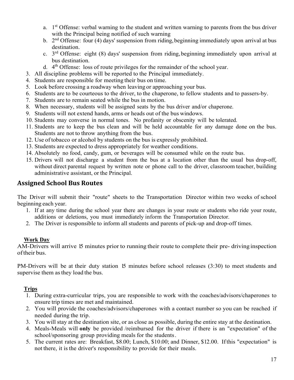- a.  $1<sup>st</sup>$  Offense: verbal warning to the student and written warning to parents from the bus driver with the Principal being notified of such warning
- b.  $2<sup>nd</sup>$  Offense: four (4) days' suspension from riding, beginning immediately upon arrival at bus destination.
- c.  $3<sup>rd</sup>$  Offense: eight (8) days' suspension from riding, beginning immediately upon arrival at bus destination.
- d.  $4<sup>th</sup>$  Offense: loss of route privileges for the remainder of the school year.
- 3. All discipline problems will be reported to the Principal immediately.
- 4. Students are responsible for meeting their bus on time.
- 5. Look before crossing a roadway when leaving or approaching your bus.
- 6. Students are to be courteous to the driver, to the chaperone, to fellow students and to passers-by.
- 7. Students are to remain seated while the bus in motion.
- 8. When necessary, students will be assigned seats by the bus driver and/or chaperone.
- 9. Students will not extend hands, arms or heads out of the bus windows.
- 10. Students may converse in normal tones. No profanity or obscenity will be tolerated.
- 11. Students are to keep the bus clean and will be held accountable for any damage done on the bus. Students are not to throw anything from the bus.
- 12. Use of tobacco or alcohol by students on the bus is expressly prohibited.
- 13. Students are expected to dress appropriately for weather conditions.
- 14. Absolutely no food, candy, gum, or beverages will be consumed while on the route bus.
- 15. Drivers will not discharge a student from the bus at a location other than the usual bus drop-off, without direct parental request by written note or phone call to the driver, classroom teacher, building administrative assistant, or the Principal.

### **Assigned School Bus Routes**

The Driver will submit their "route" sheets to the Transportation Director within two weeks of school beginning each year.

- 1. If at any time during the school year there are changes in your route or students who ride your route, additions or deletions, you must immediately inform the Transportation Director.
- 2. The Driver is responsible to inform all students and parents of pick-up and drop-off times.

#### **Work Day**

AM-Drivers will arrive 15 minutes prior to running their route to complete their pre- driving inspection of their bus.

PM-Drivers will be at their duty station 15 minutes before school releases (3:30) to meet students and supervise them as they load the bus.

#### **Trips**

- 1. During extra-curricular trips, you are responsible to work with the coaches/advisors/chaperones to ensure trip times are met and maintained.
- 2. You will provide the coaches/advisors/chaperones with a contact number so you can be reached if needed during the trip.
- 3. You will stay at the destination site, or as close as possible, during the entire stay at the destination.
- 4. Meals-Meals will **only** be provided /reimbursed for the driver if there is an "expectation" of the school/sponsoring group providing meals for the students.
- 5. The current rates are: Breakfast, \$8.00; Lunch, \$10.00; and Dinner, \$12.00. If this "expectation" is not there, it is the driver's responsibility to provide for their meals.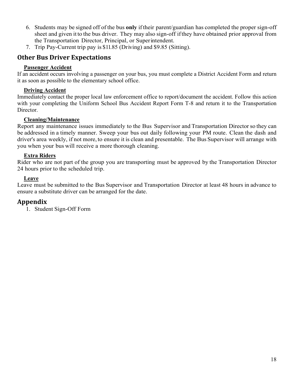- 6. Students may be signed off of the bus **only** if their parent/guardian has completed the proper sign-off sheet and given it to the bus driver. They may also sign-off if they have obtained prior approval from the Transportation Director, Principal, or Superintendent.
- 7. Trip Pay-Current trip pay is \$11.85 (Driving) and \$9.85 (Sitting).

## **Other Bus Driver Expectations**

#### **Passenger Accident**

If an accident occurs involving a passenger on your bus, you must complete a District Accident Form and return it as soon as possible to the elementary school office.

#### **Driving Accident**

Immediately contact the proper local law enforcement office to report/document the accident. Follow this action with your completing the Uniform School Bus Accident Report Form T-8 and return it to the Transportation Director.

#### **Cleaning/Maintenance**

Report any maintenance issues immediately to the Bus Supervisor and Transportation Director so they can be addressed in a timely manner. Sweep your bus out daily following your PM route. Clean the dash and driver's area weekly, if not more, to ensure it is clean and presentable. The Bus Supervisor will arrange with you when your bus will receive a more thorough cleaning.

#### **Extra Riders**

Rider who are not part of the group you are transporting must be approved by the Transportation Director 24 hours prior to the scheduled trip.

#### **Leave**

Leave must be submitted to the Bus Supervisor and Transportation Director at least 48 hours in advance to ensure a substitute driver can be arranged for the date.

## **Appendix**

1. Student Sign-Off Form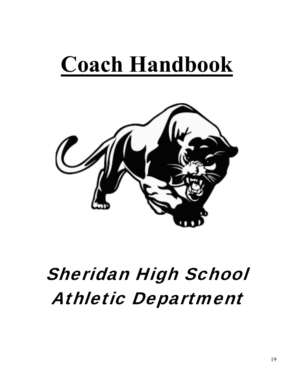# **Coach Handbook**



## Sheridan High School Athletic Department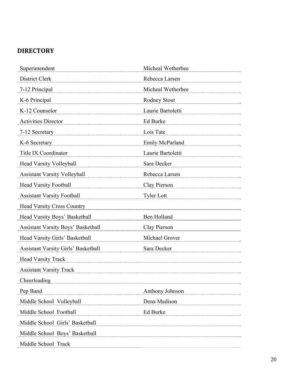## **DIRECTORY**

| Superintendent                             | Micheal Wetherbee |
|--------------------------------------------|-------------------|
| District Clerk                             | Rebecca Larsen    |
| 7-12 Principal                             | Micheal Wetherbee |
| K-6 Principal                              | Rodney Stout      |
| K-12 Counselor                             | Laurie Bartoletti |
| <b>Activities Director</b>                 | Ed Burke          |
| 7-12 Secretary                             | Lois Tate         |
| K-6 Secretary                              | Emily McParland   |
| Title IX Coordinator                       | Laurie Bartoletti |
| Head Varsity Volleyball                    | Sara Decker       |
| <b>Assistant Varsity Volleyball</b>        | Rebecca Larsen    |
| <b>Head Varsity Football</b>               | Clay Pierson      |
| <b>Assistant Varsity Football</b>          | <b>Tyler Lott</b> |
| <b>Head Varsity Cross Country</b>          |                   |
| Head Varsity Boys' Basketball              | Ben Holland       |
| <b>Assistant Varsity Boys' Basketball</b>  | Clay Pierson      |
| Head Varsity Girls' Basketball             | Michael Grover    |
| <b>Assistant Varsity Girls' Basketball</b> | Sara Decker       |
| <b>Head Varsity Track</b>                  |                   |
| <b>Assistant Varsity Track</b>             |                   |
| Cheerleading                               |                   |
| Pep Band                                   | Anthony Johnson   |
| Middle School Volleyball                   | Dena Madison      |
| Middle School Football                     | Ed Burke          |
| Middle School Girls' Basketball            |                   |
| Middle School Boys' Basketball             |                   |
| Middle School Track                        |                   |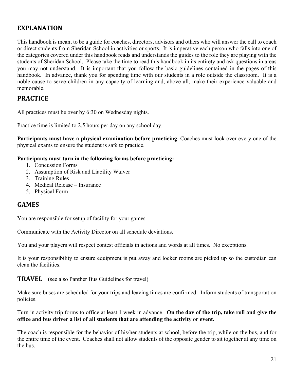## **EXPLANATION**

This handbook is meant to be a guide for coaches, directors, advisors and others who will answer the call to coach or direct students from Sheridan School in activities or sports. It is imperative each person who falls into one of the categories covered under this handbook reads and understands the guides to the role they are playing with the students of Sheridan School. Please take the time to read this handbook in its entirety and ask questions in areas you may not understand. It is important that you follow the basic guidelines contained in the pages of this handbook. In advance, thank you for spending time with our students in a role outside the classroom. It is a noble cause to serve children in any capacity of learning and, above all, make their experience valuable and memorable.

## **PRACTICE**

All practices must be over by 6:30 on Wednesday nights.

Practice time is limited to 2.5 hours per day on any school day.

**Participants must have a physical examination before practicing.** Coaches must look over every one of the physical exams to ensure the student is safe to practice.

#### **Participants must turn in the following forms before practicing:**

- 1. Concussion Forms
- 2. Assumption of Risk and Liability Waiver
- 3. Training Rules
- 4. Medical Release Insurance
- 5. Physical Form

### **GAMES**

You are responsible for setup of facility for your games.

Communicate with the Activity Director on all schedule deviations.

You and your players will respect contest officials in actions and words at all times. No exceptions.

It is your responsibility to ensure equipment is put away and locker rooms are picked up so the custodian can clean the facilities.

**TRAVEL** (see also Panther Bus Guidelines for travel)

Make sure buses are scheduled for your trips and leaving times are confirmed. Inform students of transportation policies.

Turn in activity trip forms to office at least 1 week in advance. **On the day of the trip, take roll and give the office and bus driver a list of all students that are attending the activity or event.** 

The coach is responsible for the behavior of his/her students at school, before the trip, while on the bus, and for the entire time of the event. Coaches shall not allow students of the opposite gender to sit together at any time on the bus.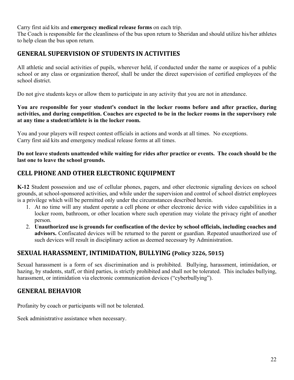#### Carry first aid kits and **emergency medical release forms** on each trip.

The Coach is responsible for the cleanliness of the bus upon return to Sheridan and should utilize his/her athletes to help clean the bus upon return.

## **GENERAL SUPERVISION OF STUDENTS IN ACTIVITIES**

All athletic and social activities of pupils, wherever held, if conducted under the name or auspices of a public school or any class or organization thereof, shall be under the direct supervision of certified employees of the school district.

Do not give students keys or allow them to participate in any activity that you are not in attendance.

#### **You are responsible for your student's conduct in the locker rooms before and after practice, during activities, and during competition. Coaches are expected to be in the locker rooms in the supervisory role at any time a student/athlete is in the locker room.**

You and your players will respect contest officials in actions and words at all times. No exceptions. Carry first aid kits and emergency medical release forms at all times.

**Do not leave students unattended while waiting for rides after practice or events. The coach should be the last one to leave the school grounds.** 

## **CELL PHONE AND OTHER ELECTRONIC EQUIPMENT**

**K-12** Student possession and use of cellular phones, pagers, and other electronic signaling devices on school grounds, at school-sponsored activities, and while under the supervision and control of school district employees is a privilege which will be permitted only under the circumstances described herein.

- 1. At no time will any student operate a cell phone or other electronic device with video capabilities in a locker room, bathroom, or other location where such operation may violate the privacy right of another person.
- 2. **Unauthorized use is grounds for confiscation of the device by school officials, including coaches and advisors.** Confiscated devices will be returned to the parent or guardian. Repeated unauthorized use of such devices will result in disciplinary action as deemed necessary by Administration.

## **SEXUAL HARASSMENT, INTIMIDATION, BULLYING (Policy 3226, 5015)**

Sexual harassment is a form of sex discrimination and is prohibited. Bullying, harassment, intimidation, or hazing, by students, staff, or third parties, is strictly prohibited and shall not be tolerated. This includes bullying, harassment, or intimidation via electronic communication devices ("cyberbullying").

## **GENERAL BEHAVIOR**

Profanity by coach or participants will not be tolerated.

Seek administrative assistance when necessary.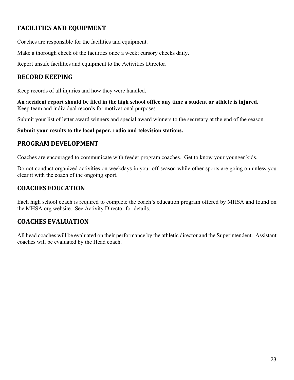## **FACILITIES AND EQUIPMENT**

Coaches are responsible for the facilities and equipment.

Make a thorough check of the facilities once a week; cursory checks daily.

Report unsafe facilities and equipment to the Activities Director.

## **RECORD KEEPING**

Keep records of all injuries and how they were handled.

**An accident report should be filed in the high school office any time a student or athlete is injured.**  Keep team and individual records for motivational purposes.

Submit your list of letter award winners and special award winners to the secretary at the end of the season.

**Submit your results to the local paper, radio and television stations.** 

## **PROGRAM DEVELOPMENT**

Coaches are encouraged to communicate with feeder program coaches. Get to know your younger kids.

Do not conduct organized activities on weekdays in your off-season while other sports are going on unless you clear it with the coach of the ongoing sport.

## **COACHES EDUCATION**

Each high school coach is required to complete the coach's education program offered by MHSA and found on the MHSA.org website. See Activity Director for details.

## **COACHES EVALUATION**

All head coaches will be evaluated on their performance by the athletic director and the Superintendent. Assistant coaches will be evaluated by the Head coach.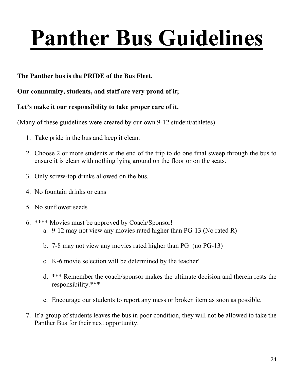# **Panther Bus Guidelines**

## **The Panther bus is the PRIDE of the Bus Fleet.**

## **Our community, students, and staff are very proud of it;**

## **Let's make it our responsibility to take proper care of it.**

(Many of these guidelines were created by our own 9-12 student/athletes)

- 1. Take pride in the bus and keep it clean.
- 2. Choose 2 or more students at the end of the trip to do one final sweep through the bus to ensure it is clean with nothing lying around on the floor or on the seats.
- 3. Only screw-top drinks allowed on the bus.
- 4. No fountain drinks or cans
- 5. No sunflower seeds
- 6. \*\*\*\* Movies must be approved by Coach/Sponsor!
	- a. 9-12 may not view any movies rated higher than PG-13 (No rated R)
	- b. 7-8 may not view any movies rated higher than PG (no PG-13)
	- c. K-6 movie selection will be determined by the teacher!
	- d. \*\*\* Remember the coach/sponsor makes the ultimate decision and therein rests the responsibility.\*\*\*
	- e. Encourage our students to report any mess or broken item as soon as possible.
- 7. If a group of students leaves the bus in poor condition, they will not be allowed to take the Panther Bus for their next opportunity.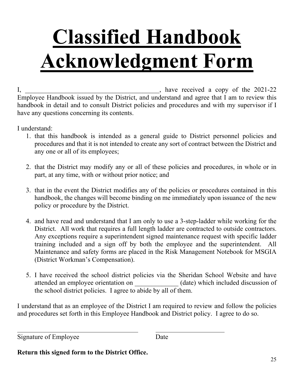# **Classified Handbook Acknowledgment Form**

I,  $\mu$  is the contract of the 2021-22 state of the 2021-22 state  $\mu$ Employee Handbook issued by the District, and understand and agree that I am to review this handbook in detail and to consult District policies and procedures and with my supervisor if I have any questions concerning its contents.

I understand:

- 1. that this handbook is intended as a general guide to District personnel policies and procedures and that it is not intended to create any sort of contract between the District and any one or all of its employees;
- 2. that the District may modify any or all of these policies and procedures, in whole or in part, at any time, with or without prior notice; and
- 3. that in the event the District modifies any of the policies or procedures contained in this handbook, the changes will become binding on me immediately upon issuance of the new policy or procedure by the District.
- 4. and have read and understand that I am only to use a 3-step-ladder while working for the District. All work that requires a full length ladder are contracted to outside contractors. Any exceptions require a superintendent signed maintenance request with specific ladder training included and a sign off by both the employee and the superintendent. All Maintenance and safety forms are placed in the Risk Management Notebook for MSGIA (District Workman's Compensation).
- 5. I have received the school district policies via the Sheridan School Website and have attended an employee orientation on \_\_\_\_\_\_\_\_\_\_\_\_\_ (date) which included discussion of the school district policies. I agree to abide by all of them.

I understand that as an employee of the District I am required to review and follow the policies and procedures set forth in this Employee Handbook and District policy. I agree to do so.

Signature of Employee Date

**Return this signed form to the District Office.**